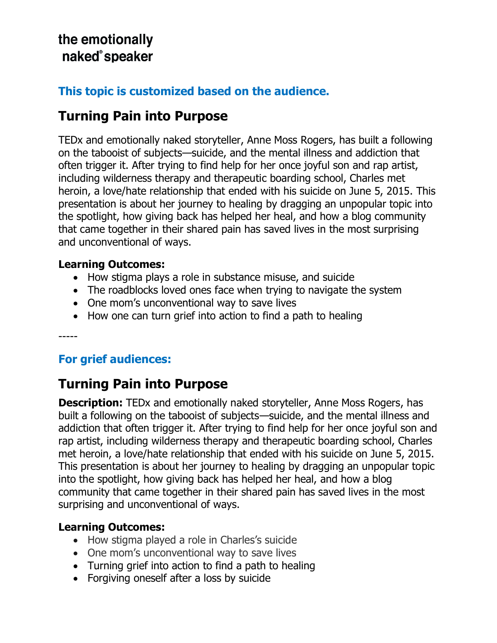## the emotionally naked<sup>®</sup>speaker

### **This topic is customized based on the audience.**

# **Turning Pain into Purpose**

TEDx and emotionally naked storyteller, Anne Moss Rogers, has built a following on the tabooist of subjects—suicide, and the mental illness and addiction that often trigger it. After trying to find help for her once joyful son and rap artist, including wilderness therapy and therapeutic boarding school, Charles met heroin, a love/hate relationship that ended with his suicide on June 5, 2015. This presentation is about her journey to healing by dragging an unpopular topic into the spotlight, how giving back has helped her heal, and how a blog community that came together in their shared pain has saved lives in the most surprising and unconventional of ways.

#### **Learning Outcomes:**

- How stigma plays a role in substance misuse, and suicide
- The roadblocks loved ones face when trying to navigate the system
- One mom's unconventional way to save lives
- How one can turn grief into action to find a path to healing

-----

### **For grief audiences:**

## **Turning Pain into Purpose**

**Description:** TEDx and emotionally naked storyteller, Anne Moss Rogers, has built a following on the tabooist of subjects—suicide, and the mental illness and addiction that often trigger it. After trying to find help for her once joyful son and rap artist, including wilderness therapy and therapeutic boarding school, Charles met heroin, a love/hate relationship that ended with his suicide on June 5, 2015. This presentation is about her journey to healing by dragging an unpopular topic into the spotlight, how giving back has helped her heal, and how a blog community that came together in their shared pain has saved lives in the most surprising and unconventional of ways.

#### **Learning Outcomes:**

- How stigma played a role in Charles's suicide
- One mom's unconventional way to save lives
- Turning grief into action to find a path to healing
- Forgiving oneself after a loss by suicide